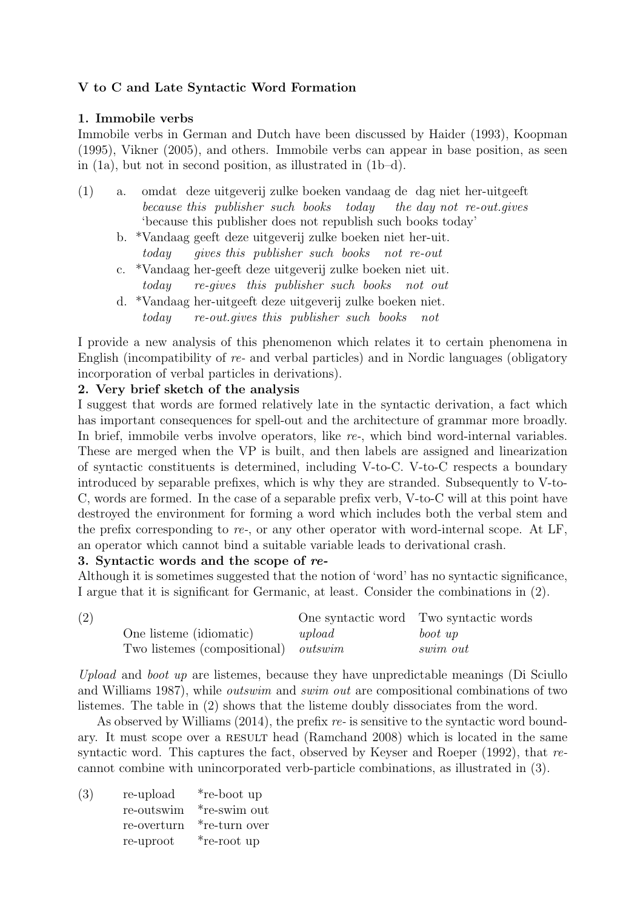## V to C and Late Syntactic Word Formation

## 1. Immobile verbs

Immobile verbs in German and Dutch have been discussed by Haider (1993), Koopman (1995), Vikner (2005), and others. Immobile verbs can appear in base position, as seen in (1a), but not in second position, as illustrated in (1b–d).

- (1) a. omdat deze uitgeverij zulke boeken vandaag de dag niet her-uitgeeft because this publisher such books today the day not re-out.gives 'because this publisher does not republish such books today'
	- b. \*Vandaag geeft deze uitgeverij zulke boeken niet her-uit. today gives this publisher such books not re-out
	- c. \*Vandaag her-geeft deze uitgeverij zulke boeken niet uit. today re-gives this publisher such books not out
	- d. \*Vandaag her-uitgeeft deze uitgeverij zulke boeken niet. today re-out.gives this publisher such books not

I provide a new analysis of this phenomenon which relates it to certain phenomena in English (incompatibility of re- and verbal particles) and in Nordic languages (obligatory incorporation of verbal particles in derivations).

### 2. Very brief sketch of the analysis

I suggest that words are formed relatively late in the syntactic derivation, a fact which has important consequences for spell-out and the architecture of grammar more broadly. In brief, immobile verbs involve operators, like re-, which bind word-internal variables. These are merged when the VP is built, and then labels are assigned and linearization of syntactic constituents is determined, including V-to-C. V-to-C respects a boundary introduced by separable prefixes, which is why they are stranded. Subsequently to V-to-C, words are formed. In the case of a separable prefix verb, V-to-C will at this point have destroyed the environment for forming a word which includes both the verbal stem and the prefix corresponding to re-, or any other operator with word-internal scope. At  $LF$ , an operator which cannot bind a suitable variable leads to derivational crash.

#### 3. Syntactic words and the scope of re-

Although it is sometimes suggested that the notion of 'word' has no syntactic significance, I argue that it is significant for Germanic, at least. Consider the combinations in (2).

| (2) |                                             |          | One syntactic word Two syntactic words |
|-----|---------------------------------------------|----------|----------------------------------------|
|     | One listeme (idiomatic)                     | $upload$ | boot up                                |
|     | Two listemes (compositional) <i>outswim</i> |          | swim out                               |

Upload and boot up are listemes, because they have unpredictable meanings (Di Sciullo and Williams 1987), while outswim and swim out are compositional combinations of two listemes. The table in (2) shows that the listeme doubly dissociates from the word.

As observed by Williams  $(2014)$ , the prefix re- is sensitive to the syntactic word boundary. It must scope over a RESULT head (Ramchand 2008) which is located in the same syntactic word. This captures the fact, observed by Keyser and Roeper (1992), that recannot combine with unincorporated verb-particle combinations, as illustrated in (3).

| (3) | re-upload   | *re-boot up         |
|-----|-------------|---------------------|
|     | re-outswim  | *re-swim out        |
|     | re-overturn | *re-turn over       |
|     | re-uproot   | <i>*</i> re-root up |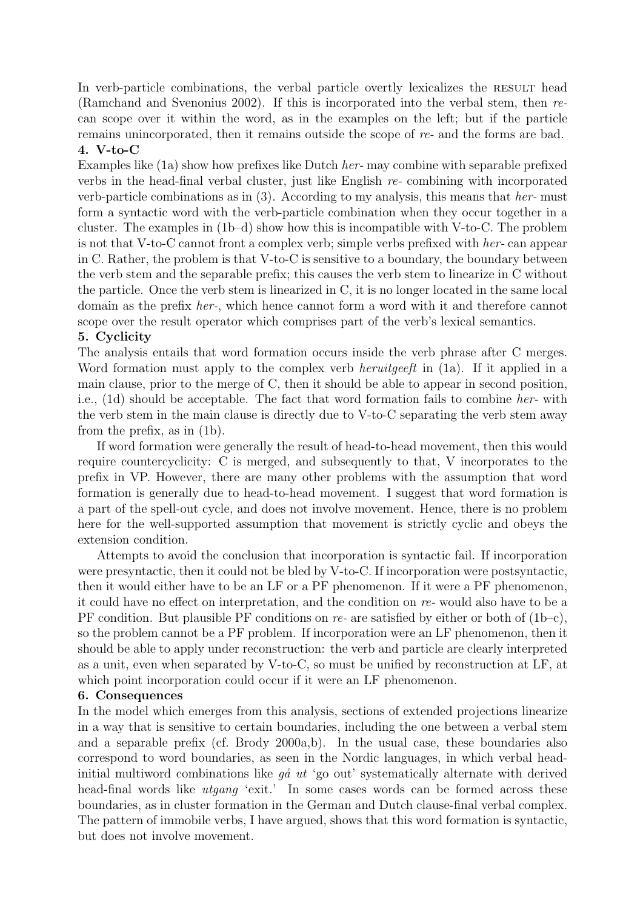In verb-particle combinations, the verbal particle overtly lexicalizes the RESULT head (Ramchand and Svenonius 2002). If this is incorporated into the verbal stem, then recan scope over it within the word, as in the examples on the left; but if the particle remains unincorporated, then it remains outside the scope of re- and the forms are bad. 4. V-to-C

Examples like (1a) show how prefixes like Dutch her- may combine with separable prefixed verbs in the head-final verbal cluster, just like English re- combining with incorporated verb-particle combinations as in  $(3)$ . According to my analysis, this means that her- must form a syntactic word with the verb-particle combination when they occur together in a cluster. The examples in (1b–d) show how this is incompatible with V-to-C. The problem is not that V-to-C cannot front a complex verb; simple verbs prefixed with her- can appear in C. Rather, the problem is that V-to-C is sensitive to a boundary, the boundary between the verb stem and the separable prefix; this causes the verb stem to linearize in C without the particle. Once the verb stem is linearized in C, it is no longer located in the same local domain as the prefix her-, which hence cannot form a word with it and therefore cannot scope over the result operator which comprises part of the verb's lexical semantics.

## 5. Cyclicity

The analysis entails that word formation occurs inside the verb phrase after C merges. Word formation must apply to the complex verb *heruitgeeft* in (1a). If it applied in a main clause, prior to the merge of C, then it should be able to appear in second position, i.e., (1d) should be acceptable. The fact that word formation fails to combine her- with the verb stem in the main clause is directly due to V-to-C separating the verb stem away from the prefix, as in (1b).

If word formation were generally the result of head-to-head movement, then this would require countercyclicity: C is merged, and subsequently to that, V incorporates to the prefix in VP. However, there are many other problems with the assumption that word formation is generally due to head-to-head movement. I suggest that word formation is a part of the spell-out cycle, and does not involve movement. Hence, there is no problem here for the well-supported assumption that movement is strictly cyclic and obeys the extension condition.

Attempts to avoid the conclusion that incorporation is syntactic fail. If incorporation were presyntactic, then it could not be bled by V-to-C. If incorporation were postsyntactic, then it would either have to be an LF or a PF phenomenon. If it were a PF phenomenon, it could have no effect on interpretation, and the condition on re- would also have to be a PF condition. But plausible PF conditions on re- are satisfied by either or both of  $(1b-c)$ , so the problem cannot be a PF problem. If incorporation were an LF phenomenon, then it should be able to apply under reconstruction: the verb and particle are clearly interpreted as a unit, even when separated by V-to-C, so must be unified by reconstruction at LF, at which point incorporation could occur if it were an LF phenomenon.

#### 6. Consequences

In the model which emerges from this analysis, sections of extended projections linearize in a way that is sensitive to certain boundaries, including the one between a verbal stem and a separable prefix (cf. Brody 2000a,b). In the usual case, these boundaries also correspond to word boundaries, as seen in the Nordic languages, in which verbal headinitial multiword combinations like  $q\aa$  ut 'go out' systematically alternate with derived head-final words like *utgang* 'exit.' In some cases words can be formed across these boundaries, as in cluster formation in the German and Dutch clause-final verbal complex. The pattern of immobile verbs, I have argued, shows that this word formation is syntactic, but does not involve movement.